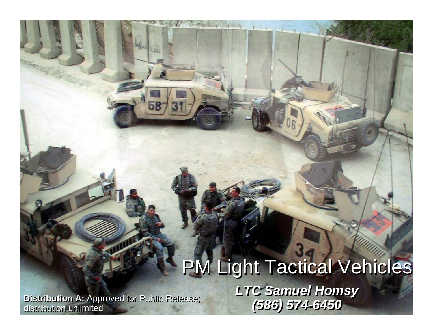## **PM Light Tactical Vehicles** *LTC Samuel Homsy LTC Samuel Homsy (586) 574-6450*

Distribution A: Approved for Public Release;<br>distribution unlimited

REAL LONGIE , IL

Life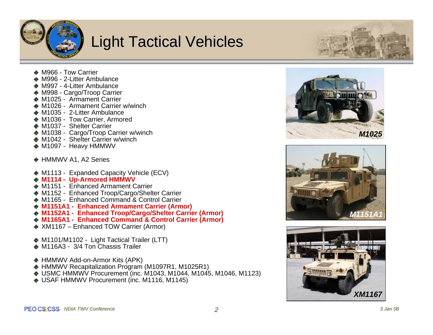

### **Light Tactical Vehicles**



- ◆ M966 Tow Carrier
- ◆ M996 2-Litter Ambulance
- ◆ M997 4-Litter Ambulance
- ◆ M998 Cargo/Troop Carrier
- ◆ M1025 Armament Carrier
- ◆ M1026 Armament Carrier w/winch
- ◆ M1035 2-Litter Ambulance
- ◆ M1036 Tow Carrier, Armored
- ◆ M1037 Shelter Carrier
- ◆ M1038 Cargo/Troop Carrier w/winch
- ◆ M1042 Shelter Carrier w/winch
- ◆ M1097 Heavy HMMWV
- ◆ HMMWV A1, A2 Series
- ◆ M1113 Expanded Capacity Vehicle (ECV)
- **M1114 - Up-Armored HMMWV**
- ◆ M1151 Enhanced Armament Carrier
- ◆ M1152 Enhanced Troop/Cargo/Shelter Carrier
- **★ M1165 Enhanced Command & Control Carrier**
- **M1151A1 - Enhanced Armament Carrier (Armor)**
- ◆ M1152A1 Enhanced Troop/Cargo/Shelter Carrier (Armor)
- **M1165A1 - Enhanced Command & Control Carrier (Armor)**
- ◆ XM1167 Enhanced TOW Carrier (Armor)
- ◆ M1101/M1102 Light Tactical Trailer (LTT)
- ◆ M116A3 3/4 Ton Chassis Trailer
- ◆ HMMWV Add-on-Armor Kits (APK)
- ◆ HMMWV Recapitalization Program (M1097R1, M1025R1)
- ◆ USMC HMMWV Procurement (inc. M1043, M1044, M1045, M1046, M1123)
- ◆ USAF HMMWV Procurement (inc. M1116, M1145)





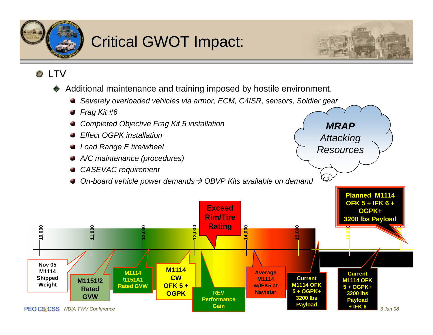

## **Critical GWOT Impact:**



*MRAP*

*Attacking*

*Resources*

 $\Omega$ 

#### **O** LTV

- Additional maintenance and training imposed by hostile environment.
	- *Severely overloaded vehicles via armor, ECM, C4ISR, sensors, Soldier gear*
	- *Frag Kit #6*
	- *Completed Objective Frag Kit 5 installation*
	- *Effect OGPK installation*
	- *Load Range E tire/wheel*
	- *A/C maintenance (procedures)*
	- *CASEVAC requirement*
	- *On-board vehicle power demands → OBVP Kits available on demand*

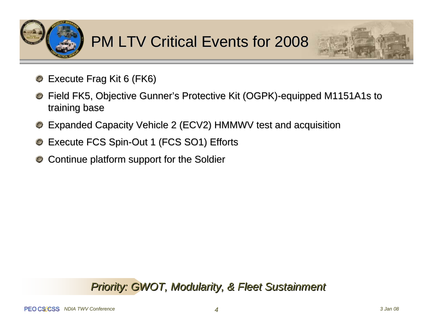



- Execute Frag Kit 6 (FK6)  $\mathbf{\circ}$
- Field FK5, Objective Gunner's Protective Kit (OGPK)-equipped M1151A1s to training base
- Expanded Capacity Vehicle 2 (ECV2) HMMWV test and acquisition
- Execute FCS Spin-Out 1 (FCS SO1) Efforts
- Continue platform support for the Soldier

#### *Priority: GWOT, Modularity, & Fleet Sustainment Priority: GWOT, Modularity, & Fleet Sustainment*